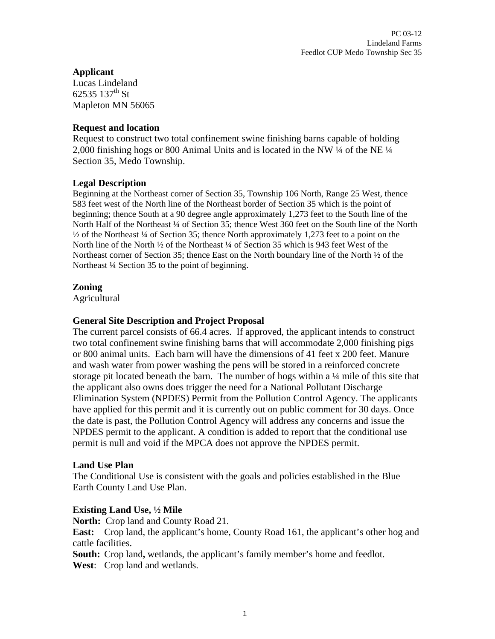## **Applicant**

Lucas Lindeland 62535 137<sup>th</sup> St Mapleton MN 56065

#### **Request and location**

Request to construct two total confinement swine finishing barns capable of holding 2,000 finishing hogs or 800 Animal Units and is located in the NW ¼ of the NE ¼ Section 35, Medo Township.

#### **Legal Description**

Beginning at the Northeast corner of Section 35, Township 106 North, Range 25 West, thence 583 feet west of the North line of the Northeast border of Section 35 which is the point of beginning; thence South at a 90 degree angle approximately 1,273 feet to the South line of the North Half of the Northeast ¼ of Section 35; thence West 360 feet on the South line of the North ½ of the Northeast ¼ of Section 35; thence North approximately 1,273 feet to a point on the North line of the North <sup>1</sup>/<sub>2</sub> of the Northeast <sup>1</sup>/<sub>4</sub> of Section 35 which is 943 feet West of the Northeast corner of Section 35; thence East on the North boundary line of the North ½ of the Northeast ¼ Section 35 to the point of beginning.

#### **Zoning**

**Agricultural** 

#### **General Site Description and Project Proposal**

The current parcel consists of 66.4 acres. If approved, the applicant intends to construct two total confinement swine finishing barns that will accommodate 2,000 finishing pigs or 800 animal units. Each barn will have the dimensions of 41 feet x 200 feet. Manure and wash water from power washing the pens will be stored in a reinforced concrete storage pit located beneath the barn. The number of hogs within a  $\frac{1}{4}$  mile of this site that the applicant also owns does trigger the need for a National Pollutant Discharge Elimination System (NPDES) Permit from the Pollution Control Agency. The applicants have applied for this permit and it is currently out on public comment for 30 days. Once the date is past, the Pollution Control Agency will address any concerns and issue the NPDES permit to the applicant. A condition is added to report that the conditional use permit is null and void if the MPCA does not approve the NPDES permit.

#### **Land Use Plan**

The Conditional Use is consistent with the goals and policies established in the Blue Earth County Land Use Plan.

#### **Existing Land Use, ½ Mile**

**North:** Crop land and County Road 21.

**East:** Crop land, the applicant's home, County Road 161, the applicant's other hog and cattle facilities.

**South:** Crop land, wetlands, the applicant's family member's home and feedlot. **West**: Crop land and wetlands.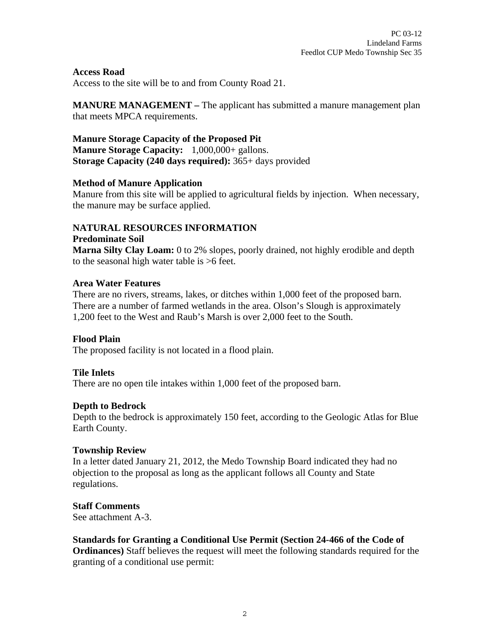**Access Road**

Access to the site will be to and from County Road 21.

**MANURE MANAGEMENT** – The applicant has submitted a manure management plan that meets MPCA requirements.

**Manure Storage Capacity of the Proposed Pit Manure Storage Capacity:** 1,000,000+ gallons. **Storage Capacity (240 days required):** 365+ days provided

#### **Method of Manure Application**

Manure from this site will be applied to agricultural fields by injection. When necessary, the manure may be surface applied.

# **NATURAL RESOURCES INFORMATION**

#### **Predominate Soil**

**Marna Silty Clay Loam:** 0 to 2% slopes, poorly drained, not highly erodible and depth to the seasonal high water table is >6 feet.

#### **Area Water Features**

There are no rivers, streams, lakes, or ditches within 1,000 feet of the proposed barn. There are a number of farmed wetlands in the area. Olson's Slough is approximately 1,200 feet to the West and Raub's Marsh is over 2,000 feet to the South.

#### **Flood Plain**

The proposed facility is not located in a flood plain.

#### **Tile Inlets**

There are no open tile intakes within 1,000 feet of the proposed barn.

#### **Depth to Bedrock**

Depth to the bedrock is approximately 150 feet, according to the Geologic Atlas for Blue Earth County.

#### **Township Review**

In a letter dated January 21, 2012, the Medo Township Board indicated they had no objection to the proposal as long as the applicant follows all County and State regulations.

## **Staff Comments**

See attachment A-3.

#### **Standards for Granting a Conditional Use Permit (Section 24-466 of the Code of Ordinances)** Staff believes the request will meet the following standards required for the granting of a conditional use permit: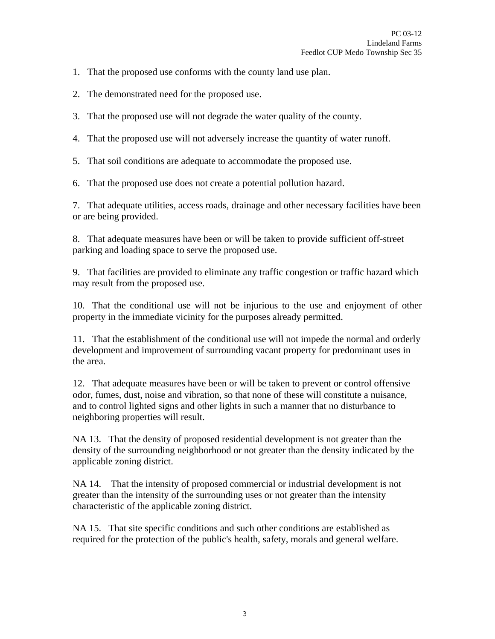- 1. That the proposed use conforms with the county land use plan.
- 2. The demonstrated need for the proposed use.
- 3. That the proposed use will not degrade the water quality of the county.
- 4. That the proposed use will not adversely increase the quantity of water runoff.

5. That soil conditions are adequate to accommodate the proposed use.

6. That the proposed use does not create a potential pollution hazard.

7. That adequate utilities, access roads, drainage and other necessary facilities have been or are being provided.

8. That adequate measures have been or will be taken to provide sufficient off-street parking and loading space to serve the proposed use.

9. That facilities are provided to eliminate any traffic congestion or traffic hazard which may result from the proposed use.

10. That the conditional use will not be injurious to the use and enjoyment of other property in the immediate vicinity for the purposes already permitted.

11. That the establishment of the conditional use will not impede the normal and orderly development and improvement of surrounding vacant property for predominant uses in the area.

12. That adequate measures have been or will be taken to prevent or control offensive odor, fumes, dust, noise and vibration, so that none of these will constitute a nuisance, and to control lighted signs and other lights in such a manner that no disturbance to neighboring properties will result.

NA 13. That the density of proposed residential development is not greater than the density of the surrounding neighborhood or not greater than the density indicated by the applicable zoning district.

NA 14. That the intensity of proposed commercial or industrial development is not greater than the intensity of the surrounding uses or not greater than the intensity characteristic of the applicable zoning district.

NA 15. That site specific conditions and such other conditions are established as required for the protection of the public's health, safety, morals and general welfare.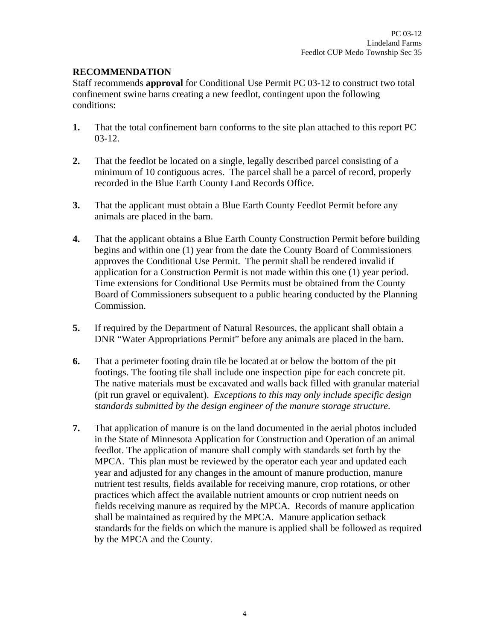## **RECOMMENDATION**

Staff recommends **approval** for Conditional Use Permit PC 03-12 to construct two total confinement swine barns creating a new feedlot, contingent upon the following conditions:

- **1.** That the total confinement barn conforms to the site plan attached to this report PC 03-12.
- **2.** That the feedlot be located on a single, legally described parcel consisting of a minimum of 10 contiguous acres. The parcel shall be a parcel of record, properly recorded in the Blue Earth County Land Records Office.
- **3.** That the applicant must obtain a Blue Earth County Feedlot Permit before any animals are placed in the barn.
- **4.** That the applicant obtains a Blue Earth County Construction Permit before building begins and within one (1) year from the date the County Board of Commissioners approves the Conditional Use Permit. The permit shall be rendered invalid if application for a Construction Permit is not made within this one (1) year period. Time extensions for Conditional Use Permits must be obtained from the County Board of Commissioners subsequent to a public hearing conducted by the Planning Commission.
- **5.** If required by the Department of Natural Resources, the applicant shall obtain a DNR "Water Appropriations Permit" before any animals are placed in the barn.
- **6.** That a perimeter footing drain tile be located at or below the bottom of the pit footings. The footing tile shall include one inspection pipe for each concrete pit. The native materials must be excavated and walls back filled with granular material (pit run gravel or equivalent). *Exceptions to this may only include specific design standards submitted by the design engineer of the manure storage structure.*
- **7.** That application of manure is on the land documented in the aerial photos included in the State of Minnesota Application for Construction and Operation of an animal feedlot. The application of manure shall comply with standards set forth by the MPCA. This plan must be reviewed by the operator each year and updated each year and adjusted for any changes in the amount of manure production, manure nutrient test results, fields available for receiving manure, crop rotations, or other practices which affect the available nutrient amounts or crop nutrient needs on fields receiving manure as required by the MPCA. Records of manure application shall be maintained as required by the MPCA. Manure application setback standards for the fields on which the manure is applied shall be followed as required by the MPCA and the County.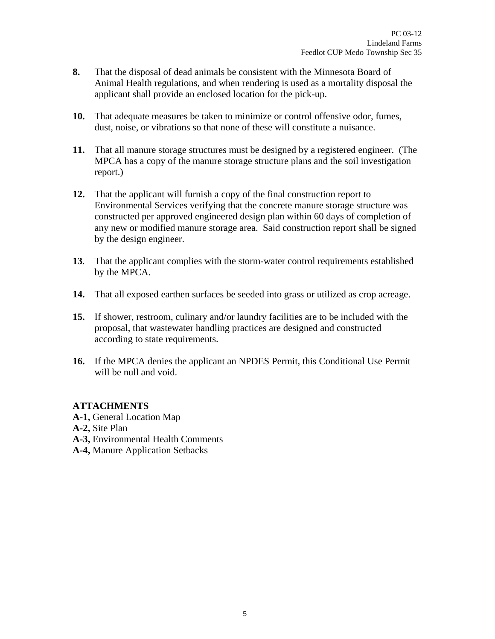- **8.** That the disposal of dead animals be consistent with the Minnesota Board of Animal Health regulations, and when rendering is used as a mortality disposal the applicant shall provide an enclosed location for the pick-up.
- **10.** That adequate measures be taken to minimize or control offensive odor, fumes, dust, noise, or vibrations so that none of these will constitute a nuisance.
- **11.** That all manure storage structures must be designed by a registered engineer. (The MPCA has a copy of the manure storage structure plans and the soil investigation report.)
- **12.** That the applicant will furnish a copy of the final construction report to Environmental Services verifying that the concrete manure storage structure was constructed per approved engineered design plan within 60 days of completion of any new or modified manure storage area. Said construction report shall be signed by the design engineer.
- **13**. That the applicant complies with the storm-water control requirements established by the MPCA.
- **14.** That all exposed earthen surfaces be seeded into grass or utilized as crop acreage.
- **15.** If shower, restroom, culinary and/or laundry facilities are to be included with the proposal, that wastewater handling practices are designed and constructed according to state requirements.
- **16.** If the MPCA denies the applicant an NPDES Permit, this Conditional Use Permit will be null and void.

# **ATTACHMENTS**

- **A-1,** General Location Map
- **A-2,** Site Plan
- **A-3,** Environmental Health Comments
- **A-4,** Manure Application Setbacks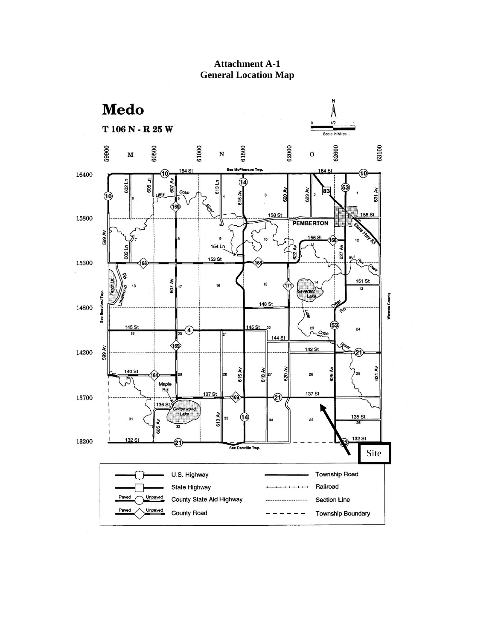

**Attachment A-1 General Location Map**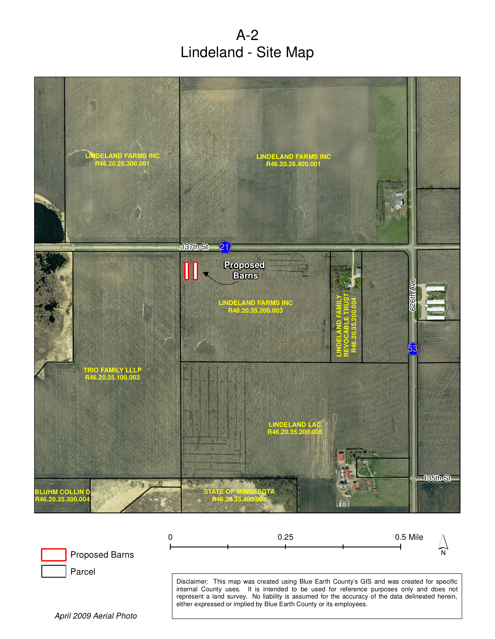A-2 Lindeland - Site Map





April 2009 Aerial Photo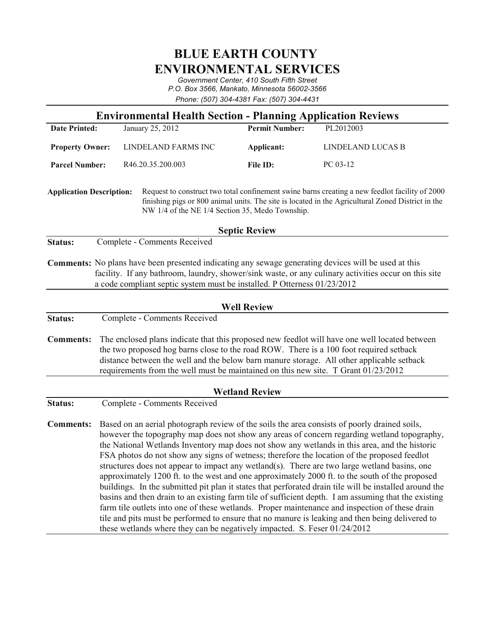# **BLUE EARTH COUNTY ENVIRONMENTAL SERVICES**

Government Center, 410 South Fifth Street *P.O. Box 3566, Mankato, Minnesota 56002-3566* Phone: (507) 304-4381 Fax: (507) 304-4431

| <b>Environmental Health Section - Planning Application Reviews</b>                                                                                                                                                                                                                              |                                                                                                                                                                                                                                                                                                                                                                                                                                                                                                                                                                                                                                                                                                                                                                                                                                                                                                                                                                                                                                                                                                  |                              |                       |                   |
|-------------------------------------------------------------------------------------------------------------------------------------------------------------------------------------------------------------------------------------------------------------------------------------------------|--------------------------------------------------------------------------------------------------------------------------------------------------------------------------------------------------------------------------------------------------------------------------------------------------------------------------------------------------------------------------------------------------------------------------------------------------------------------------------------------------------------------------------------------------------------------------------------------------------------------------------------------------------------------------------------------------------------------------------------------------------------------------------------------------------------------------------------------------------------------------------------------------------------------------------------------------------------------------------------------------------------------------------------------------------------------------------------------------|------------------------------|-----------------------|-------------------|
| <b>Date Printed:</b>                                                                                                                                                                                                                                                                            |                                                                                                                                                                                                                                                                                                                                                                                                                                                                                                                                                                                                                                                                                                                                                                                                                                                                                                                                                                                                                                                                                                  | January 25, 2012             | <b>Permit Number:</b> | PL2012003         |
| <b>Property Owner:</b>                                                                                                                                                                                                                                                                          |                                                                                                                                                                                                                                                                                                                                                                                                                                                                                                                                                                                                                                                                                                                                                                                                                                                                                                                                                                                                                                                                                                  | LINDELAND FARMS INC          | Applicant:            | LINDELAND LUCAS B |
| <b>Parcel Number:</b>                                                                                                                                                                                                                                                                           |                                                                                                                                                                                                                                                                                                                                                                                                                                                                                                                                                                                                                                                                                                                                                                                                                                                                                                                                                                                                                                                                                                  | R46.20.35.200.003            | File ID:              | PC 03-12          |
| Request to construct two total confinement swine barns creating a new feedlot facility of 2000<br><b>Application Description:</b><br>finishing pigs or 800 animal units. The site is located in the Agricultural Zoned District in the<br>NW 1/4 of the NE 1/4 Section 35, Medo Township.       |                                                                                                                                                                                                                                                                                                                                                                                                                                                                                                                                                                                                                                                                                                                                                                                                                                                                                                                                                                                                                                                                                                  |                              |                       |                   |
| <b>Septic Review</b>                                                                                                                                                                                                                                                                            |                                                                                                                                                                                                                                                                                                                                                                                                                                                                                                                                                                                                                                                                                                                                                                                                                                                                                                                                                                                                                                                                                                  |                              |                       |                   |
| Status:                                                                                                                                                                                                                                                                                         |                                                                                                                                                                                                                                                                                                                                                                                                                                                                                                                                                                                                                                                                                                                                                                                                                                                                                                                                                                                                                                                                                                  | Complete - Comments Received |                       |                   |
| <b>Comments:</b> No plans have been presented indicating any sewage generating devices will be used at this<br>facility. If any bathroom, laundry, shower/sink waste, or any culinary activities occur on this site<br>a code compliant septic system must be installed. P Otterness 01/23/2012 |                                                                                                                                                                                                                                                                                                                                                                                                                                                                                                                                                                                                                                                                                                                                                                                                                                                                                                                                                                                                                                                                                                  |                              |                       |                   |
| <b>Well Review</b>                                                                                                                                                                                                                                                                              |                                                                                                                                                                                                                                                                                                                                                                                                                                                                                                                                                                                                                                                                                                                                                                                                                                                                                                                                                                                                                                                                                                  |                              |                       |                   |
| Status:                                                                                                                                                                                                                                                                                         | Complete - Comments Received                                                                                                                                                                                                                                                                                                                                                                                                                                                                                                                                                                                                                                                                                                                                                                                                                                                                                                                                                                                                                                                                     |                              |                       |                   |
| <b>Comments:</b>                                                                                                                                                                                                                                                                                | The enclosed plans indicate that this proposed new feedlot will have one well located between<br>the two proposed hog barns close to the road ROW. There is a 100 foot required setback<br>distance between the well and the below barn manure storage. All other applicable setback<br>requirements from the well must be maintained on this new site. T Grant 01/23/2012                                                                                                                                                                                                                                                                                                                                                                                                                                                                                                                                                                                                                                                                                                                       |                              |                       |                   |
| <b>Wetland Review</b>                                                                                                                                                                                                                                                                           |                                                                                                                                                                                                                                                                                                                                                                                                                                                                                                                                                                                                                                                                                                                                                                                                                                                                                                                                                                                                                                                                                                  |                              |                       |                   |
| Status:                                                                                                                                                                                                                                                                                         | Complete - Comments Received                                                                                                                                                                                                                                                                                                                                                                                                                                                                                                                                                                                                                                                                                                                                                                                                                                                                                                                                                                                                                                                                     |                              |                       |                   |
| <b>Comments:</b>                                                                                                                                                                                                                                                                                | Based on an aerial photograph review of the soils the area consists of poorly drained soils,<br>however the topography map does not show any areas of concern regarding wetland topography,<br>the National Wetlands Inventory map does not show any wetlands in this area, and the historic<br>FSA photos do not show any signs of wetness; therefore the location of the proposed feedlot<br>structures does not appear to impact any wetland(s). There are two large wetland basins, one<br>approximately 1200 ft. to the west and one approximately 2000 ft. to the south of the proposed<br>buildings. In the submitted pit plan it states that perforated drain tile will be installed around the<br>basins and then drain to an existing farm tile of sufficient depth. I am assuming that the existing<br>farm tile outlets into one of these wetlands. Proper maintenance and inspection of these drain<br>tile and pits must be performed to ensure that no manure is leaking and then being delivered to<br>these wetlands where they can be negatively impacted. S. Feser 01/24/2012 |                              |                       |                   |